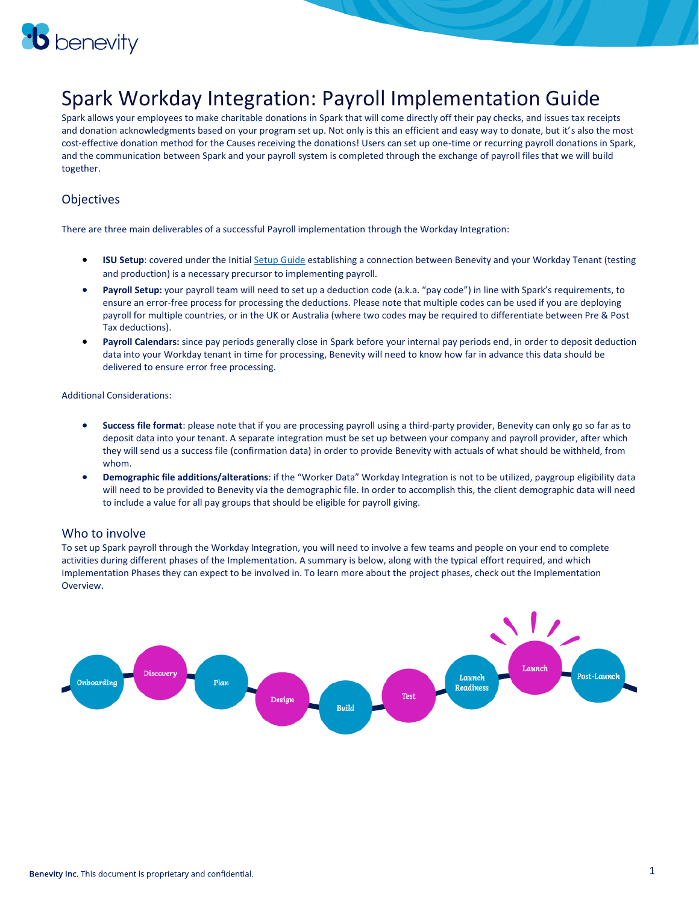

### Spark Workday Integration: Payroll Implementation Guide

Spark allows your employees to make charitable donations in Spark that will come directly off their pay checks, and issues tax receipts and donation acknowledgments based on your program set up. Not only is this an efficient and easy way to donate, but it's also the most cost-effective donation method for the Causes receiving the donations! Users can set up one-time or recurring payroll donations in Spark, and the communication between Spark and your payroll system is completed through the exchange of payroll files that we will build together.

#### **Objectives**

There are three main deliverables of a successful Payroll implementation through the Workday Integration:

- **ISU Setup**: covered under the Initia[l Setup Guide](https://storage.benevity.com/Spark_Workday_Integration_Initial_Setup_Implementation_Guide.pdf) establishing a connection between Benevity and your Workday Tenant (testing and production) is a necessary precursor to implementing payroll.
- **Payroll Setup:** your payroll team will need to set up a deduction code (a.k.a. "pay code") in line with Spark's requirements, to ensure an error-free process for processing the deductions. Please note that multiple codes can be used if you are deploying payroll for multiple countries, or in the UK or Australia (where two codes may be required to differentiate between Pre & Post Tax deductions).
- **Payroll Calendars:** since pay periods generally close in Spark before your internal pay periods end, in order to deposit deduction data into your Workday tenant in time for processing, Benevity will need to know how far in advance this data should be delivered to ensure error free processing.

Additional Considerations:

- **Success file format**: please note that if you are processing payroll using a third-party provider, Benevity can only go so far as to deposit data into your tenant. A separate integration must be set up between your company and payroll provider, after which they will send us a success file (confirmation data) in order to provide Benevity with actuals of what should be withheld, from whom.
- **Demographic file additions/alterations**: if the "Worker Data" Workday Integration is not to be utilized, paygroup eligibility data will need to be provided to Benevity via the demographic file. In order to accomplish this, the client demographic data will need to include a value for all pay groups that should be eligible for payroll giving.

#### Who to involve

To set up Spark payroll through the Workday Integration, you will need to involve a few teams and people on your end to complete activities during different phases of the Implementation. A summary is below, along with the typical effort required, and which Implementation Phases they can expect to be involved in. To learn more about the project phases, check out the Implementation Overview.

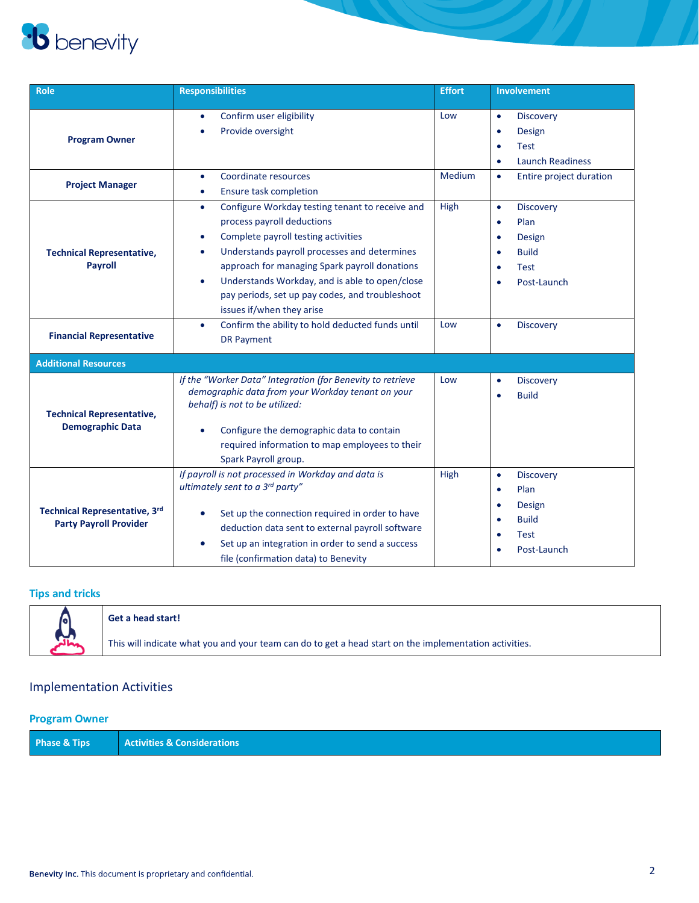# **b** benevity

| <b>Role</b>                                                    | <b>Responsibilities</b>                                                                                                                                                                                                                                                                                                                                                                             | <b>Effort</b> | <b>Involvement</b>                                                                                                                                                    |
|----------------------------------------------------------------|-----------------------------------------------------------------------------------------------------------------------------------------------------------------------------------------------------------------------------------------------------------------------------------------------------------------------------------------------------------------------------------------------------|---------------|-----------------------------------------------------------------------------------------------------------------------------------------------------------------------|
| <b>Program Owner</b>                                           | Confirm user eligibility<br>$\bullet$<br>Provide oversight<br>$\bullet$                                                                                                                                                                                                                                                                                                                             | Low           | <b>Discovery</b><br>$\bullet$<br><b>Design</b><br>$\bullet$<br>Test<br>$\bullet$<br><b>Launch Readiness</b><br>$\bullet$                                              |
| <b>Project Manager</b>                                         | Coordinate resources<br>$\bullet$<br><b>Ensure task completion</b><br>$\bullet$                                                                                                                                                                                                                                                                                                                     | Medium        | Entire project duration<br>$\bullet$                                                                                                                                  |
| <b>Technical Representative,</b><br><b>Payroll</b>             | Configure Workday testing tenant to receive and<br>$\bullet$<br>process payroll deductions<br>Complete payroll testing activities<br>۰<br>Understands payroll processes and determines<br>$\bullet$<br>approach for managing Spark payroll donations<br>Understands Workday, and is able to open/close<br>$\bullet$<br>pay periods, set up pay codes, and troubleshoot<br>issues if/when they arise | High          | $\bullet$<br><b>Discovery</b><br>Plan<br>$\bullet$<br><b>Design</b><br>$\bullet$<br><b>Build</b><br>$\bullet$<br><b>Test</b><br>$\bullet$<br>Post-Launch<br>$\bullet$ |
| <b>Financial Representative</b>                                | Confirm the ability to hold deducted funds until<br>$\bullet$<br><b>DR Payment</b>                                                                                                                                                                                                                                                                                                                  | Low           | <b>Discovery</b><br>$\bullet$                                                                                                                                         |
| <b>Additional Resources</b>                                    |                                                                                                                                                                                                                                                                                                                                                                                                     |               |                                                                                                                                                                       |
| <b>Technical Representative,</b><br><b>Demographic Data</b>    | If the "Worker Data" Integration (for Benevity to retrieve<br>demographic data from your Workday tenant on your<br>behalf) is not to be utilized:<br>Configure the demographic data to contain<br>$\bullet$<br>required information to map employees to their<br>Spark Payroll group.                                                                                                               | Low           | <b>Discovery</b><br>$\bullet$<br><b>Build</b><br>$\bullet$                                                                                                            |
| Technical Representative, 3rd<br><b>Party Payroll Provider</b> | If payroll is not processed in Workday and data is<br>ultimately sent to a 3rd party"<br>Set up the connection required in order to have<br>$\bullet$<br>deduction data sent to external payroll software<br>Set up an integration in order to send a success<br>$\bullet$<br>file (confirmation data) to Benevity                                                                                  | High          | <b>Discovery</b><br>$\bullet$<br>Plan<br>$\bullet$<br><b>Design</b><br>$\bullet$<br><b>Build</b><br>$\bullet$<br>Test<br>$\bullet$<br>Post-Launch                     |

#### **Tips and tricks**

|           | Get a head start!                                                                                      |
|-----------|--------------------------------------------------------------------------------------------------------|
| <b>AL</b> | This will indicate what you and your team can do to get a head start on the implementation activities. |

#### Implementation Activities

#### **Program Owner**

| Phase & Tips | <b>Activities &amp; Considerations</b> |
|--------------|----------------------------------------|
|              |                                        |